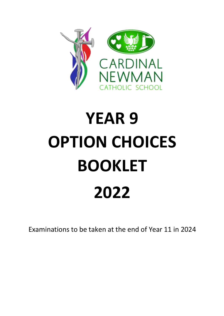

# **YEAR 9 OPTION CHOICES BOOKLET 2022**

Examinations to be taken at the end of Year 11 in 2024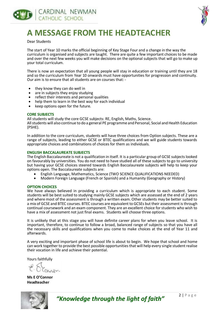



# **A MESSAGE FROM THE HEADTEACHER**

Dear Students

The start of Year 10 marks the official beginning of Key Stage Four and a change in the way the curriculum is organised and subjects are taught. There are quite a few important choices to be made and over the next few weeks you will make decisions on the optional subjects that will go to make up your total curriculum.

There is now an expectation that all young people will stay in education or training until they are 18 and so the curriculum from Year 10 onwards must have opportunities for progression and continuity. Our aim is to ensure that all students are on courses that: -

- they know they can do well in
- are in subjects they enjoy studying<br>• reflect their interests and nersonal
- reflect their interests and personal qualities
- help them to learn in the best way for each individual
- keep options open for the future.

#### **CORE SUBJECTS**

All students will study the core GCSE subjects: RE, English, Maths, Science.

All students will also continue to do a general PE programme and Personal, Social and Health Education (PSHE).

In addition to the core curriculum, students will have three choices from Option subjects. These are a range of subjects, leading to either GCSE or BTEC qualifications and we will guide students towards appropriate choices and combinations of choices for them as individuals.

#### **ENGLISH BACCALAUREATE SUBJECTS**

The English Baccalaureate is not a qualification in itself. It is a particular group of GCSE subjects looked on favourably by universities. You do not need to have studied all of these subjects to go to university but having your GCSE choices steered towards English Baccalaureate subjects will help to keep your options open. The Baccalaureate subjects are:

- English Language, Mathematics, Science (TWO SCIENCE QUALIFICATIONS NEEDED)<br>• Modern Eoreign Language (French or Spanish) and a Humanity (Geography or Histo
- Modern Foreign Language (French or Spanish) and a Humanity (Geography or History)

#### **OPTION CHOICES**

We have always believed in providing a curriculum which is appropriate to each student. Some students will be best suited to studying mainly GCSE subjects which are assessed at the end of 2 years and where most of the assessment is through a written exam. Other students may be better suited to a mix of GCSE and BTEC courses. BTEC courses are equivalent to GCSEs but their assessment is through continual coursework and an exam component. They are an excellent choice for students who wish to have a mix of assessment not just final exams. Students will choose three options.

It is unlikely that at this stage you will have definite career plans for when you leave school. It is important, therefore, to continue to follow a broad, balanced range of subjects so that you have all the necessary skills and qualifications when you come to make choices at the end of Year 11 and afterwards.

A very exciting and important phase of school life is about to begin. We hope that school and home can work together to provide the best possible opportunities that will help every single student realise their vocation in life and achieve their potential.

Yours faithfully

**Ms E O'Connor Headteacher**



*"Knowledge through the light of faith"* <sup>2</sup> | P a g e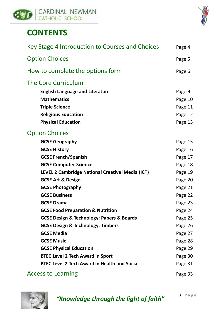



# **CONTENTS**

| Key Stage 4 Introduction to Courses and Choices          | Page 4  |
|----------------------------------------------------------|---------|
| <b>Option Choices</b>                                    | Page 5  |
| How to complete the options form                         | Page 6  |
| <b>The Core Curriculum</b>                               |         |
| <b>English Language and Literature</b>                   | Page 9  |
| <b>Mathematics</b>                                       | Page 10 |
| <b>Triple Science</b>                                    | Page 11 |
| <b>Religious Education</b>                               | Page 12 |
| <b>Physical Education</b>                                | Page 13 |
| <b>Option Choices</b>                                    |         |
| <b>GCSE Geography</b>                                    | Page 15 |
| <b>GCSE History</b>                                      | Page 16 |
| <b>GCSE French/Spanish</b>                               | Page 17 |
| <b>GCSE Computer Science</b>                             | Page 18 |
| LEVEL 2 Cambridge National Creative iMedia (ICT)         | Page 19 |
| <b>GCSE Art &amp; Design</b>                             | Page 20 |
| <b>GCSE Photography</b>                                  | Page 21 |
| <b>GCSE Business</b>                                     | Page 22 |
| <b>GCSE Drama</b>                                        | Page 23 |
| <b>GCSE Food Preparation &amp; Nutrition</b>             | Page 24 |
| <b>GCSE Design &amp; Technology: Papers &amp; Boards</b> | Page 25 |
| <b>GCSE Design &amp; Technology: Timbers</b>             | Page 26 |
| <b>GCSE Media</b>                                        | Page 27 |
| <b>GCSE Music</b>                                        | Page 28 |
| <b>GCSE Physical Education</b>                           | Page 29 |
| <b>BTEC Level 2 Tech Award in Sport</b>                  | Page 30 |
| <b>BTEC Level 2 Tech Award in Health and Social</b>      | Page 31 |
| <b>Access to Learning</b>                                | Page 33 |

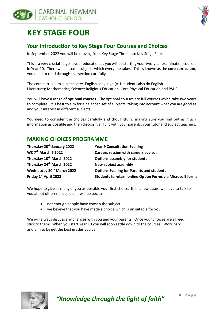



# **KEY STAGE FOUR**

#### **Your Introduction to Key Stage Four Courses and Choices**

In September 2022 you will be moving from Key Stage Three into Key Stage Four.

This is a very crucial stage in your education as you will be starting your two-year examination courses in Year 10. There will be some subjects which everyone takes. This is known as the **core curriculum**, you need to read through this section carefully.

The core curriculum subjects are: English Language (ALL students also do English Literature); Mathematics; Science; Religious Education, Core Physical Education and PSHE.

You will have a range of **optional courses**. The optional courses are full courses which take two years to complete. It is best to aim for a balanced set of subjects, taking into account what you are good at and your interest in different subjects.

You need to consider the choices carefully and thoughtfully, making sure you find out as much information as possible and then discuss it all fully with your parents, your tutor and subject teachers.

#### **MAKING CHOICES PROGRAMME**

| Thursday 20 <sup>th</sup> January 2022 | <b>Year 9 Consultation Evening</b>                         |
|----------------------------------------|------------------------------------------------------------|
| WC 7 <sup>th</sup> March 7 2022        | <b>Careers session with careers advisor</b>                |
| Thursday 10 <sup>th</sup> March 2022   | <b>Options assembly for students</b>                       |
| Thursday 24 <sup>th</sup> March 2022   | New subject assembly                                       |
| Wednesday 30 <sup>th</sup> March 2022  | <b>Options Evening for Parents and students</b>            |
| Friday 1st April 2022                  | Students to return online Option Forms via Microsoft forms |

We hope to give as many of you as possible your first choice. If, in a few cases, we have to talk to you about different subjects, it will be because:

- not enough people have chosen the subject
- we believe that you have made a choice which is unsuitable for you

We will always discuss any changes with you and your parents. Once your choices are agreed, stick to them! When you start Year 10 you will soon settle down to the courses. Work hard and aim to be get the best grades you can.

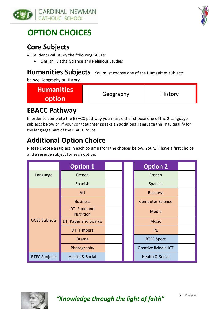



# **OPTION CHOICES**

# **Core Subjects**

All Students will study the following GCSEs:

• English, Maths, Science and Religious Studies

### **Humanities Subjects** You must choose one of the Humanities subjects

below; Geography or History.

| <b>Humanities</b><br>Geography<br>option | <b>History</b> |
|------------------------------------------|----------------|
|------------------------------------------|----------------|

# **EBACC Pathway**

In order to complete the EBACC pathway you must either choose one of the 2 Language subjects below or, if your son/daughter speaks an additional language this may qualify for the language part of the EBACC route.

# **Additional Option Choice**

Please choose a subject in each column from the choices below. You will have a first choice and a reserve subject for each option.

|                      | <b>Option 1</b>                  |  | <b>Option 2</b>            |  |
|----------------------|----------------------------------|--|----------------------------|--|
| Language             | French                           |  | French                     |  |
|                      | Spanish                          |  | Spanish                    |  |
|                      | Art                              |  | <b>Business</b>            |  |
|                      | <b>Business</b>                  |  | <b>Computer Science</b>    |  |
| <b>GCSE Subjects</b> | DT: Food and<br><b>Nutrition</b> |  | Media                      |  |
|                      | DT: Paper and Boards             |  | <b>Music</b>               |  |
|                      | <b>DT: Timbers</b>               |  | <b>PE</b>                  |  |
|                      | Drama                            |  | <b>BTEC Sport</b>          |  |
|                      | Photography                      |  | Creative iMedia ICT        |  |
| <b>BTEC Subjects</b> | <b>Health &amp; Social</b>       |  | <b>Health &amp; Social</b> |  |

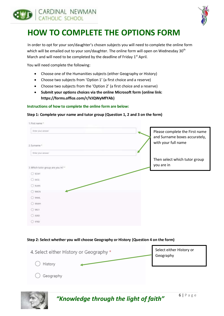



# **HOW TO COMPLETE THE OPTIONS FORM**

In order to opt for your son/daughter's chosen subjects you will need to complete the online form which will be emailed out to your son/daughter. The online form will open on Wednesday 30<sup>th</sup> March and will need to be completed by the deadline of Friday  $1<sup>st</sup>$  April.

You will need complete the following:

- Choose one of the Humanities subjects (either Geography or History)
- Choose two subjects from 'Option 1' (a first choice and a reserve)
- Choose two subjects from the 'Option 2' (a first choice and a reserve)
- **Submit your options choices via the online Microsoft form (online link: https://forms.office.com/r/VJQWyMfYAb)**

#### **Instructions of how to complete the online form are below:**

#### **Step 1: Complete your name and tutor group (Question 1, 2 and 3 on the form)**



#### **Step 2: Select whether you will choose Geography or History (Question 4 on the form)**

| 4. Select either History or Geography * | Select either History or<br>Geography |
|-----------------------------------------|---------------------------------------|
| History                                 |                                       |
| Geography                               |                                       |



*"Knowledge through the light of faith"* <sup>6</sup> | P a g e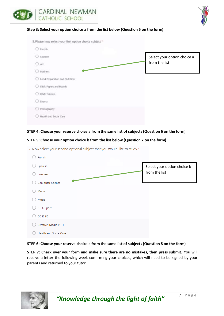



#### **Step 3: Select your option choice a from the list below (Question 5 on the form)**

| 5. Please now select your first option choice subject * |                             |
|---------------------------------------------------------|-----------------------------|
| O French                                                |                             |
| C Spanish                                               | Select your option choice a |
| Art<br>⊙                                                | from the list               |
| Business                                                |                             |
| O Food Preparation and Nutrition                        |                             |
| D&T: Papers and Boards                                  |                             |
| Dart; Timbers                                           |                             |
| Drama                                                   |                             |
| Photography                                             |                             |
| Health and Social Care                                  |                             |
|                                                         |                             |

#### **STEP 4: Choose your reserve choice a from the same list of subjects (Question 6 on the form)**

#### **STEP 5: Choose your option choice b from the list below (Question 7 on the form)**

| French                        |                             |
|-------------------------------|-----------------------------|
| Spanish                       | Select your option choice b |
| <b>Business</b>               | from the list               |
| Computer Science              |                             |
| Media                         |                             |
| Music                         |                             |
| <b>BTEC Sport</b>             |                             |
| <b>GCSE PE</b>                |                             |
| Creative iMedia (ICT)         |                             |
| <b>Health and Social Care</b> |                             |

7. Now select your second optional subject that you would like to study \*

#### **STEP 6: Choose your reserve choice a from the same list of subjects (Question 8 on the form)**

**STEP 7: Check over your form and make sure there are no mistakes, then press submit.** You will receive a letter the following week confirming your choices, which will need to be signed by your parents and returned to your tutor.

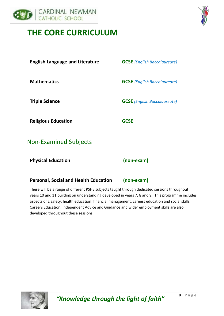

# **THE CORE CURRICULUM**



| <b>English Language and Literature</b> | <b>GCSE</b> (English Baccalaureate) |
|----------------------------------------|-------------------------------------|
| <b>Mathematics</b>                     | <b>GCSE</b> (English Baccalaureate) |
| <b>Triple Science</b>                  | <b>GCSE</b> (English Baccalaureate) |
| <b>Religious Education</b>             | <b>GCSE</b>                         |
| <b>Non-Examined Subjects</b>           |                                     |
| <b>Physical Education</b>              | (non-exam)                          |

#### **Personal, Social and Health Education (non-exam)**

There will be a range of different PSHE subjects taught through dedicated sessions throughout years 10 and 11 building on understanding developed in years 7, 8 and 9. This programme includes aspects of E safety, health education, financial management, careers education and social skills. Careers Education, Independent Advice and Guidance and wider employment skills are also developed throughout these sessions.



*"Knowledge through the light of faith"* <sup>8</sup> | P a g e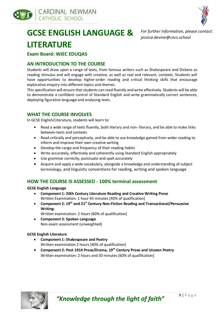



# **GCSE ENGLISH LANGUAGE & LITERATURE**

*For further information, please contact: jessica.devine@cncs.school*

#### **Exam Board: WJEC EDUQAS**

#### **AN INTRODUCTION TO THE COURSE**

Students will draw upon a range of texts, from famous writers such as Shakespeare and Dickens as reading stimulus and will engage with creative, as well as real and relevant, contexts. Students will have opportunities to develop higher-order reading and critical thinking skills that encourage explorative enquiry into different topics and themes.

This specification will ensure that students can read fluently and write effectively. Students will be able to demonstrate a confident control of Standard English and write grammatically correct sentences, deploying figurative language and analysing texts.

#### **WHAT THE COURSE INVOLVES**

In GCSE English/Literature, students will learn to:

- Read a wide range of texts fluently, both literary and non- literary, and be able to make links between texts and contexts
- Read critically and perceptively, and be able to use knowledge gained from wider reading to inform and improve their own creative writing
- Develop the range and frequency of their reading habits
- Write accurately, effectively and coherently using Standard English appropriately
- Use grammar correctly, punctuate and spell accurately
- Acquire and apply a wide vocabulary, alongside a knowledge and understanding of subject terminology, and linguistic conventions for reading, writing and spoken language

#### **HOW THE COURSE IS ASSESSED - 100% terminal assessment**

**GCSE English Language**

- **Component 1: 20th Century Literature Reading and Creative Writing Prose** Written Examination: 1 hour 45 minutes (40% of qualification)
- **Component 2: 19th and 21st Century Non-Fiction Reading and Transactional/Persuasive Writing:**
	- Written examination: 2 hours (60% of qualification)
- **Component 3: Spoken Language** Non-exam assessment (unweighted)

#### **GCSE English Literature**

- **Component 1: Shakespeare and Poetry** Written examination 2 hours (40% of qualification)
- **Component 2: Post 1914 Prose/Drama, 19th Century Prose and Unseen Poetry** Written examination: 2 hours and 30 minutes (60% of qualification)

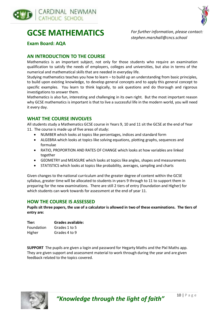



# **GCSE MATHEMATICS**

*For further information, please contact: stephen.marshall@cncs.school*

**Exam Board: AQA**

#### **AN INTRODUCTION TO THE COURSE**

Mathematics is an important subject, not only for those students who require an examination qualification to satisfy the needs of employers, colleges and universities, but also in terms of the numerical and mathematical skills that are needed in everyday life.

Studying mathematics teaches you how to learn – to build up an understanding from basic principles, to build upon existing knowledge, to develop general concepts and to apply this general concept to specific examples. You learn to think logically, to ask questions and do thorough and rigorous investigations to answer them.

Mathematics is also fun, interesting and challenging in its own right. But the most important reason why GCSE mathematics is important is that to live a successful life in the modern world, you will need it every day.

#### **WHAT THE COURSE INVOLVES**

All students study a Mathematics GCSE course in Years 9, 10 and 11 sit the GCSE at the end of Year 11. The course is made up of five areas of study:

- NUMBER which looks at topics like percentages, indices and standard form
- ALGEBRA which looks at topics like solving equations, plotting graphs, sequences and formulae
- RATIO, PROPORTION AND RATES OF CHANGE which looks at how variables are linked together
- GEOMETRY and MEASURE which looks at topics like angles, shapes and measurements
- STATISTICS which looks at topics like probability, averages, sampling and charts

Given changes to the national curriculum and the greater degree of content within the GCSE syllabus, greater time will be allocated to students in years 9 through to 11 to support them in preparing for the new examinations. There are still 2 tiers of entry (Foundation and Higher) for which students can work towards for assessment at the end of year 11.

#### **HOW THE COURSE IS ASSESSED**

**Pupils sit three papers, the use of a calculator is allowed in two of these examinations. The tiers of entry are:**

| Tier:      | Grades available: |
|------------|-------------------|
| Foundation | Grades 1 to 5     |
| Higher     | Grades 4 to 9     |

**SUPPORT** The pupils are given a login and password for Hegarty Maths and the Pixl Maths app. They are given support and assessment material to work through during the year and are given feedback related to the topics covered.

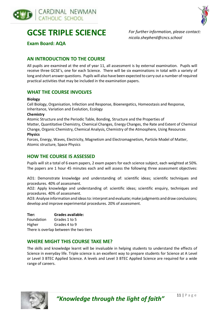



# **GCSE TRIPLE SCIENCE**

*For further information, please contact: nicola.shepherd@cncs.school*

**Exam Board: AQA**

#### **AN INTRODUCTION TO THE COURSE**

All pupils are examined at the end of year 11, all assessment is by external examination. Pupils will receive three GCSE's, one for each Science. There will be six examinations in total with a variety of long and short answer questions. Pupils will also have been expected to carry out a number of required practical activities that may be included in the examination papers.

#### **WHAT THE COURSE INVOLVES**

#### **Biology**

Cell Biology, Organisation, Infection and Response, Bioenergetics, Homeostasis and Response, Inheritance, Variation and Evolution, Ecology

#### **Chemistry**

Atomic Structure and the Periodic Table, Bonding, Structure and the Properties of Matter, Quantitative Chemistry, Chemical Changes, Energy Changes, the Rate and Extent of Chemical Change, Organic Chemistry, Chemical Analysis, Chemistry of the Atmosphere, Using Resources

#### **Physics**

Forces, Energy, Waves, Electricity, Magnetism and Electromagnetism, Particle Model of Matter, Atomic structure, Space Physics

#### **HOW THE COURSE IS ASSESSED**

Pupils will sit a total of 6 exam papers, 2 exam papers for each science subject, each weighted at 50%. The papers are 1 hour 45 minutes each and will assess the following three assessment objectives:

AO1: Demonstrate knowledge and understanding of: scientific ideas; scientific techniques and procedures. 40% of assessment.

AO2: Apply knowledge and understanding of: scientific ideas; scientific enquiry, techniques and procedures. 40% of assessment.

AO3: Analyse information and ideas to: interpret and evaluate; make judgments and draw conclusions; develop and improve experimental procedures. 20% of assessment.

**Tier: Grades available:** Foundation Grades 1 to 5 Higher Grades 4 to 9 There is overlap between the two tiers

#### **WHERE MIGHT THIS COURSE TAKE ME?**

The skills and knowledge learnt will be invaluable in helping students to understand the effects of Science in everyday life. Triple science is an excellent way to prepare students for Science at A Level or Level 3 BTEC Applied Science. A levels and Level 3 BTEC Applied Science are required for a wide range of careers.



"Knowledge through the light of faith"<sup>11 | Page</sup>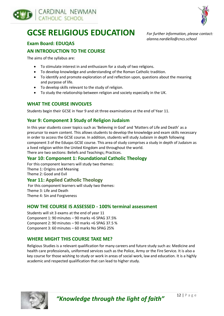



# **GCSE RELIGIOUS EDUCATION**

*For further information, please contact: alanna.nardiello@cncs.school*

#### **Exam Board: EDUQAS**

#### **AN INTRODUCTION TO THE COURSE**

The aims of the syllabus are:

- To stimulate interest in and enthusiasm for a study of two religions.
- To develop knowledge and understanding of the Roman Catholic tradition.
- To identify and promote exploration of and reflection upon, questions about the meaning and purpose of life.
- To develop skills relevant to the study of religion.
- To study the relationship between religion and society especially in the UK.

#### **WHAT THE COURSE INVOLVES**

Students begin their GCSE in Year 9 and sit three examinations at the end of Year 11.

#### **Year 9: Component 3 Study of Religion Judaism**

In this year students cover topics such as 'Believing in God' and 'Matters of Life and Death' as a precursor to exam content. This allows students to develop the knowledge and exam skills necessary in order to access the GCSE course. In addition, students will study Judaism in depth following component 3 of the Eduqas GCSE course. This area of study comprises a study in depth of Judaism as a lived religion within the United Kingdom and throughout the world. There are two sections: Beliefs and Teachings; Practices.

#### **Year 10: Component 1: Foundational Catholic Theology**

For this component learners will study two themes: Theme 1: Origins and Meaning Theme 2: Good and Evil

#### **Year 11: Applied Catholic Theology**

For this component learners will study two themes: Theme 3: Life and Death Theme 4: Sin and Forgiveness

#### **HOW THE COURSE IS ASSESSED - 100% terminal assessment**

Students will sit 3 exams at the end of year 11 Component 1: 90 minutes – 90 marks +6 SPAG 37.5% Component 2: 90 minutes – 90 marks +6 SPAG 37.5 % Component 3: 60 minutes – 60 marks No SPAG 25%

#### **WHERE MIGHT THIS COURSE TAKE ME?**

Religious Studies is a relevant qualification for many careers and future study such as: Medicine and health care professionals, uniformed services such as the Police, Army or the Fire Service. It is also a key course for those wishing to study or work in areas of social work, law and education. It is a highly academic and respected qualification that can lead to higher study.

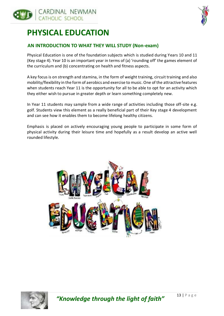

# **PHYSICAL EDUCATION**

#### **AN INTRODUCTION TO WHAT THEY WILL STUDY (Non-exam)**

Physical Education is one of the foundation subjects which is studied during Years 10 and 11 (Key stage 4). Year 10 is an important year in terms of (a) 'rounding off' the games element of the curriculum and (b) concentrating on health and fitness aspects.

A key focus is on strength and stamina, in the form of weight training, circuit training and also mobility/flexibility in the form of aerobics and exercise to music. One of the attractive features when students reach Year 11 is the opportunity for all to be able to opt for an activity which they either wish to pursue in greater depth or learn something completely new.

In Year 11 students may sample from a wide range of activities including those off-site e.g. golf. Students view this element as a really beneficial part of their Key stage 4 development and can see how it enables them to become lifelong healthy citizens.

Emphasis is placed on actively encouraging young people to participate in some form of physical activity during their leisure time and hopefully as a result develop an active well rounded lifestyle.





"Knowledge through the light of faith"<sup>13 | Page</sup>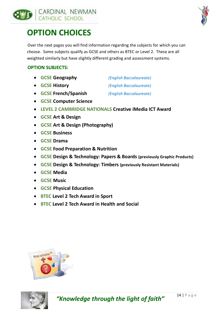



# **OPTION CHOICES**

Over the next pages you will find information regarding the subjects for which you can choose. Some subjects qualify as GCSE and others as BTEC or Level 2. These are all weighted similarly but have slightly different grading and assessment systems.

#### **OPTION SUBJECTS:**

- **GCSE Geography** *(English Baccalaureate)*
- **GCSE History** *(English Baccalaureate)*
- **GCSE French/Spanish** *(English Baccalaureate)*
- **GCSE Computer Science**
- **LEVEL 2 CAMBRIDGE NATIONALS Creative iMedia ICT Award**
- **GCSE Art & Design**
- **GCSE Art & Design (Photography)**
- **GCSE Business**
- **GCSE Drama**
- **GCSE Food Preparation & Nutrition**
- **GCSE Design & Technology: Papers & Boards (previously Graphic Products)**
- **GCSE Design & Technology: Timbers (previously Resistant Materials)**
- **GCSE Media**
- **GCSE Music**
- **GCSE Physical Education**
- **BTEC Level 2 Tech Award in Sport**
- **BTEC Level 2 Tech Award in Health and Social**



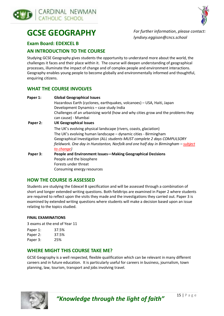



# **GCSE GEOGRAPHY**

*For further information, please contact: lyndsey.eggison@cncs.school*

#### **Exam Board: EDEXCEL B**

#### **AN INTRODUCTION TO THE COURSE**

Studying GCSE Geography gives students the opportunity to understand more about the world, the challenges it faces and their place within it. The course will deepen understanding of geographical processes, illuminate the impact of change and of complex people and environment interactions. Geography enables young people to become globally and environmentally informed and thoughtful, enquiring citizens.

#### **WHAT THE COURSE INVOLVES**

| Paper 1: | <b>Global Geographical Issues</b>                                                  |
|----------|------------------------------------------------------------------------------------|
|          | Hazardous Earth (cyclones, earthquakes, volcanoes) - USA, Haiti, Japan             |
|          | Development Dynamics - case study India                                            |
|          | Challenges of an urbanising world (how and why cities grow and the problems they   |
|          | can cause) - Mumbai                                                                |
| Paper 2: | <b>UK Geographical Issues</b>                                                      |
|          | The UK's evolving physical landscape (rivers, coasts, glaciation)                  |
|          | The UK's evolving human landscape - dynamic cities - Birmingham                    |
|          | Geographical Investigation (ALL students MUST complete 2 days COMPULSORY           |
|          | fieldwork. One day in Hunstanton, Norfolk and one half day in Birmingham - subject |
|          | to change)                                                                         |
| Paper 3: | People and Environment Issues-Making Geographical Decisions                        |
|          | People and the biosphere                                                           |
|          | Forests under threat                                                               |
|          | Consuming energy resources                                                         |

#### **HOW THE COURSE IS ASSESSED**

Students are studying the Edexcel B specification and will be assessed through a combination of short and longer extended writing questions. Both fieldtrips are examined in Paper 2 where students are required to reflect upon the visits they made and the investigations they carried out. Paper 3 is examined by extended writing questions where students will make a decision based upon an issue relating to the topics studied.

#### **FINAL EXAMINATIONS**

3 exams at the end of Year 11

| Paper 1: | 37.5% |
|----------|-------|
| Paper 2: | 37.5% |
| Paper 3: | 25%   |

#### **WHERE MIGHT THIS COURSE TAKE ME?**

GCSE Geography is a well respected, flexible qualification which can be relevant in many different careers and in future education. It is particularly useful for careers in business, journalism, town planning, law, tourism, transport and jobs involving travel.

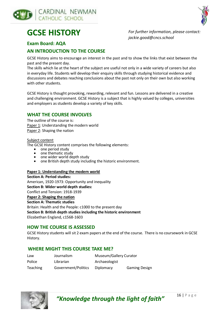



# **GCSE HISTORY**

*For further information, please contact: jackie.good@cncs.school*

#### **Exam Board: AQA**

#### **AN INTRODUCTION TO THE COURSE**

GCSE History aims to encourage an interest in the past and to show the links that exist between the past and the present day.

The skills which lie at the heart of the subject are useful not only in a wide variety of careers but also in everyday life. Students will develop their enquiry skills through studying historical evidence and discussions and debates reaching conclusions about the past not only on their own but also working with other students.

GCSE History is thought provoking, rewarding, relevant and fun. Lessons are delivered in a creative and challenging environment. GCSE History is a subject that is highly valued by colleges, universities and employers as students develop a variety of key skills.

#### **WHAT THE COURSE INVOLVES**

The outline of the course is: Paper 1: Understanding the modern world Paper 2: Shaping the nation

#### Subject content

The GCSE History content comprises the following elements:

- one period study
- one thematic study
- one wider world depth study
- one British depth study including the historic environment.

#### **Paper 1: Understanding the modern world**

**Section A: Period studies:** American, 1920-1973: Opportunity and inequality **Section B: Wider world depth studies:** Conflict and Tension: 1918-1939 **Paper 2: Shaping the nation Section A: Thematic studies** Britain: Health and the People: c1000 to the present day **Section B: British depth studies including the historic environment**  Elizabethan England, c1568-1603

#### **HOW THE COURSE IS ASSESSED**

GCSE History students will sit 2 exam papers at the end of the course. There is no coursework in GCSE History.

#### **WHERE MIGHT THIS COURSE TAKE ME?**

| Law             | Journalism          | Museum/Gallery Curator |                      |
|-----------------|---------------------|------------------------|----------------------|
| Police          | Librarian           | Archaeologist          |                      |
| <b>Teaching</b> | Government/Politics | Diplomacy              | <b>Gaming Design</b> |



*"Knowledge through the light of faith"* <sup>16</sup> | P a g e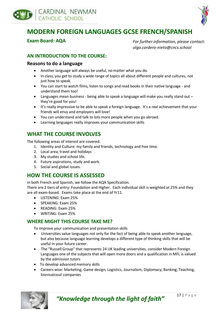



### **MODERN FOREIGN LANGUAGES GCSE FRENCH/SPANISH**

**Exam Board: AQA**

*For further information, please contact: olga.cordero-nieto@cncs.school*

#### **AN INTRODUCTION TO THE COURSE:**

#### **Reasons to do a language**

- Another language will always be useful, no matter what you do.
- In class, you get to study a wide range of topics all about different people and cultures, not just how to speak.
- You can start to watch films, listen to songs and read books in their native language and understand them too!
- Languages mean business being able to speak a language will make you really stand out they're good for you!
- It's really impressive to be able to speak a foreign language. It's a real achievement that your friends will envy and employers will love!
- You can understand and talk to lots more people when you go abroad.
- Learning languages really improves your communication skills

#### **WHAT THE COURSE INVOLVES**

The following areas of interest are covered:

- 1. Identity and Culture: my family and friends, technology and free time.
- 2. Local area, travel and holidays
- 3. My studies and school life.
- 4. Future aspirations, study and work.
- 5. Social and global issues.

#### **HOW THE COURSE IS ASSESSED**

In both French and Spanish, we follow the AQA Specification.

There are 2 tiers of entry: Foundation and Higher. Each individual skill is weighted at 25% and they are all exam-based. Exams take place at the end of Yr11.

- LISTENING: Exam 25%
- SPEAKING: Exam 25%
- READING: Exam 25%
- WRITING: Exam 25%

#### **WHERE MIGHT THIS COURSE TAKE ME?**

To improve your communication and presentation skills

- Universities value languages not only for the fact of being able to speak another language, but also because language learning develops a different type of thinking skills that will be useful in your future career.
- The "Russell Group" that represents 24 UK leading universities, consider Modern Foreign Languages one of the subjects that will open more doors and a qualification in MFL is valued by the admission tutors
- To develop advanced memory skills
- Careers wise: Marketing, Game design, Logistics, Journalism, Diplomacy, Banking, Teaching, International companies

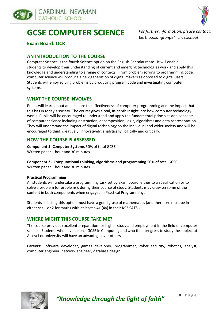



# **GCSE COMPUTER SCIENCE**

*For further information, please contact: bertha.nsongfonge@cncs.school*

**Exam Board: OCR**

#### **AN INTRODUCTION TO THE COURSE**

Computer Science is the fourth Science option on the English Baccalaureate. It will enable students to develop their understanding of current and emerging technologies work and apply this knowledge and understanding to a range of contexts. From problem solving to programming code, computer science will produce a new generation of digital makers as opposed to digital users. Students will enjoy solving problems by producing program code and investigating computer systems.

#### **WHAT THE COURSE INVOLVES**

Pupils will learn about and explore the effectiveness of computer programming and the impact that this has in today's society. The course gives a real, in-depth insight into how computer technology works. Pupils will be encouraged to understand and apply the fundamental principles and concepts of computer science including abstraction, decomposition, logic, algorithms and data representation. They will understand the impact of digital technology on the individual and wider society and will be encouraged to think creatively, innovatively, analytically, logically and critically.

#### **HOW THE COURSE IS ASSESSED**

**Component 1: Computer Systems** 50% of total GCSE Written paper 1 hour and 30 minutes.

**Component 2 - Computational thinking, algorithms and programming** 50% of total GCSE Written paper 1 hour and 30 minutes.

#### **Practical Programming**

All students will undertake a programming task set by exam board, either to a specification or to solve a problem (or problems), during their course of study. Students may draw on some of the content in both components when engaged in Practical Programming.

Students selecting this option must have a good grasp of mathematics (and therefore must be in either set 1 or 2 for maths with at least a 4+ (4a) in their KS2 SATS.)

#### **WHERE MIGHT THIS COURSE TAKE ME?**

The course provides excellent preparation for higher study and employment in the field of computer science. Students who have taken a GCSE in Computing and who then progress to study the subject at A Level or university will have an advantage over others.

**Careers:** Software developer, games developer, programmer, cyber security, robotics, analyst, computer engineer, network engineer, database design.

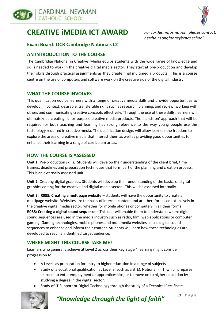

### **CREATIVE iMEDIA ICT AWARD**



*For further information, please contact: bertha.nsongfonge@cncs.school*

#### **Exam Board: OCR Cambridge Nationals L2**

#### **AN INTRODUCTION TO THE COURSE**

The Cambridge National in Creative iMedia equips students with the wide range of knowledge and skills needed to work in the creative digital media sector. They start at pre-production and develop their skills through practical assignments as they create final multimedia products. This is a course centre on the use of computers and software work on the creative side of the digital industry

#### **WHAT THE COURSE INVOLVES**

This qualification equips learners with a range of creative media skills and provide opportunities to develop, in context, desirable, transferable skills such as research, planning, and review, working with others and communicating creative concepts effectively. Through the use of these skills, learners will ultimately be creating fit-for-purpose creative media products. The 'hands on' approach that will be required for both teaching and learning has strong relevance to the way young people use the technology required in creative media. The qualification design, will allow learners the freedom to explore the areas of creative media that interest them as well as providing good opportunities to enhance their learning in a range of curriculum areas.

#### **HOW THE COURSE IS ASSESSED**

**Unit 1:** Pre-production skills. Students will develop their understanding of the client brief, time frames, deadlines and preparation techniques that form part of the planning and creation process. This is an externally assessed unit.

**Unit 2:** Creating digital graphics. Students will develop their understanding of the basics of digital graphics editing for the creative and digital media sector. This will be assessed internally.

**Unit 3: R085: Creating a multipage website** – students will have the opportunity to create a multipage website. Websites are the basis of internet content and are therefore used extensively in the creative digital media sector, whether for mobile phones or computers in all their forms **R088: Creating a digital sound sequence** – This unit will enable them to understand where digital sound sequences are used in the media industry such as radio, film, web applications or computer gaming. Gaming technologies, mobile phones and multimedia websites all use digital sound sequences to enhance and inform their content. Students will learn how these technologies are developed to reach an identified target audience.

#### **WHERE MIGHT THIS COURSE TAKE ME?**

Learners who generally achieve at Level 2 across their Key Stage 4 learning might consider progression to:

- A Levels as preparation for entry to higher education in a range of subjects
- Study of a vocational qualification at Level 3, such as a BTEC National in IT, which prepares learners to enter employment or apprenticeships, or to move on to higher education by studying a degree in the digital sector.
- Study of IT Support or Digital Technology through the study of a Technical Certificate.



*"Knowledge through the light of faith"* <sup>19</sup> | P a g e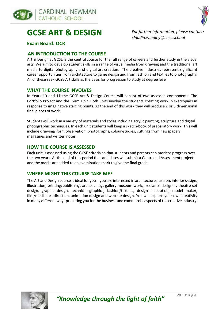



# **GCSE ART & DESIGN**

*For further information, please contact: claudia.windley@cncs.school*

#### **Exam Board: OCR**

#### **AN INTRODUCTION TO THE COURSE**

Art & Design at GCSE is the central course for the full range of careers and further study in the visual arts. We aim to develop student skills in a range of visual media from drawing and the traditional art media to digital photography and digital art creation. The creative industries represent significant career opportunities from architecture to game design and from fashion and textiles to photography. All of these seek GCSE Art skills as the basis for progression to study at degree level.

#### **WHAT THE COURSE INVOLVES**

In Years 10 and 11 the GCSE Art & Design Course will consist of two assessed components. The Portfolio Project and the Exam Unit. Both units involve the students creating work in sketchpads in response to imaginative starting points. At the end of this work they will produce 2 or 3 dimensional final pieces of work.

Students will work in a variety of materials and styles including acrylic painting, sculpture and digital photographic techniques. In each unit students will keep a sketch-book of preparatory work. This will include drawings form observation, photographs, colour-studies, cuttings from newspapers, magazines and written notes.

#### **HOW THE COURSE IS ASSESSED**

Each unit is assessed using the GCSE criteria so that students and parents can monitor progress over the two years. At the end of this period the candidates will submit a Controlled Assessment project and the marks are added to an examination mark to give the final grade.

#### **WHERE MIGHT THIS COURSE TAKE ME?**

The Art and Design course is ideal for you if you are interested in architecture, fashion, interior design, illustration, printing/publishing, art teaching, gallery museum work, freelance designer, theatre set design, graphic design, technical graphics, fashion/textiles, design illustration, model maker, film/media, art direction, animation design and website design. You will explore your own creativity in many different ways preparing you for the business and commercial aspects of the creative industry.

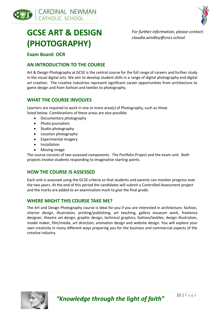



# **GCSE ART & DESIGN (PHOTOGRAPHY)**

*For further information, please contact: claudia.windley@cncs.school*

#### **Exam Board: OCR**

#### **AN INTRODUCTION TO THE COURSE**

Art & Design Photography at GCSE is the central course for the full range of careers and further study in the visual digital arts. We aim to develop student skills in a range of digital photography and digital art creation. The creative industries represent significant career opportunities from architecture to game design and from fashion and textiles to photography.

#### **WHAT THE COURSE INVOLVES**

Learners are required to work in one or more area(s) of Photography, such as those listed below. Combinations of these areas are also possible:

- Documentary photography
- Photo-journalism
- Studio photography
- Location photography
- Experimental imagery
- Installation
- Moving image

The course consists of two assessed components. The Portfolio Project and the exam unit. Both projects involve students responding to imaginative starting points.

#### **HOW THE COURSE IS ASSESSED**

Each unit is assessed using the GCSE criteria so that students and parents can monitor progress over the two years. At the end of this period the candidates will submit a Controlled Assessment project and the marks are added to an examination mark to give the final grade.

#### **WHERE MIGHT THIS COURSE TAKE ME?**

The Art and Design Photography course is ideal for you if you are interested in architecture, fashion, interior design, illustration, printing/publishing, art teaching, gallery museum work, freelance designer, theatre set design, graphic design, technical graphics, fashion/textiles, design illustration, model maker, film/media, art direction, animation design and website design. You will explore your own creativity in many different ways preparing you for the business and commercial aspects of the creative industry.

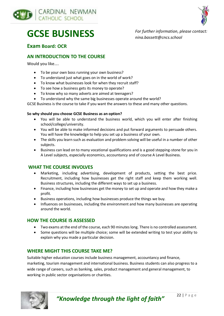



# **GCSE BUSINESS**

*For further information, please contact: nina.bassett@cncs.school*

#### **Exam Board: OCR**

#### **AN INTRODUCTION TO THE COURSE**

Would you like....

- To be your own boss running your own business?
- To understand just what goes on in the world of work?
- To know what businesses look for when they recruit staff?
- To see how a business gets its money to operate?
- To know why so many adverts are aimed at teenagers?
- To understand why the same big businesses operate around the world?

GCSE Business is the course to take if you want the answers to these and many other questions.

#### **So why should you choose GCSE Business as an option?**

- You will be able to understand the business world, which you will enter after finishing school/college/university.
- You will be able to make informed decisions and put forward arguments to persuade others. You will have the knowledge to help you set up a business of your own.
- The skills you learn such as evaluation and problem solving will be useful in a number of other subjects.
- Business can lead on to many vocational qualifications and is a good stepping-stone for you in A Level subjects, especially economics, accountancy and of course A Level Business.

#### **WHAT THE COURSE INVOLVES**

- Marketing, including advertising, development of products, setting the best price. Recruitment, including how businesses get the right staff and keep them working well. Business structures, including the different ways to set up a business.
- Finance, including how businesses get the money to set up and operate and how they make a profit.
- Business operations, including how businesses produce the things we buy.
- Influences on businesses, including the environment and how many businesses are operating around the world.

#### **HOW THE COURSE IS ASSESSED**

- Two exams at the end of the course, each 90 minutes long. There is no controlled assessment.
- Some questions will be multiple choice; some will be extended writing to test your ability to explain why you made a particular decision.

#### **WHERE MIGHT THIS COURSE TAKE ME?**

Suitable higher education courses include business management, accountancy and finance, marketing, tourism management and international business. Business students can also progress to a wide range of careers, such as banking, sales, product management and general management, to working in public sector organisations or charities.



*"Knowledge through the light of faith"* <sup>22</sup> | P a g e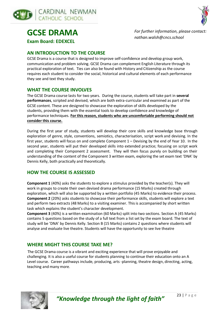



**GCSE DRAMA**

**Exam Board: EDEXCEL**

*For further information, please contact: nathan.walsh@cncs.school*

#### **AN INTRODUCTION TO THE COURSE**

GCSE Drama is a course that is designed to improve self-confidence and develop group work, communication and problem solving. GCSE Drama can complement English Literature through its practical exploration of text. Ties can also be found with History and Citizenship as the course requires each student to consider the social, historical and cultural elements of each performance they see and text they study.

#### **WHAT THE COURSE INVOLVES**

The GCSE Drama course lasts for two years. During the course, students will take part in **several performances**, scripted and devised, which are both extra-curricular and examined as part of the GCSE content. These are designed to showcase the exploration of skills developed by the students, providing them with the essential tools to develop confidence and knowledge of performance techniques. **For this reason, students who are uncomfortable performing should not consider this course.**

During the first year of study, students will develop their core skills and knowledge base through exploration of genre, style, conventions, semiotics, characterisation, script work and devising. In the first year, students will focus on and complete Component 1 – Devising by the end of Year 10. In the second year, students will put their developed skills into extended practice; focusing on script work and completing their Component 2 assessment. They will then focus purely on building on their understanding of the content of the Component 3 written exam, exploring the set exam text 'DNA' by Dennis Kelly, both practically and theoretically.

#### **HOW THE COURSE IS ASSESSED**

**Component 1** (40%) asks the students to explore a stimulus provided by the teacher(s). They will work in groups to create their own devised drama performance (15 Marks) created through exploration, which will also be supported by a written portfolio (45 Marks) to evidence their process. **Component 2** (20%) asks students to showcase their performance skills, students will explore a text and perform two extracts (48 Marks) to a visiting examiner. Thisis accompanied by short written task which explains the student's character development.

**Component 3** (40%) is a written examination (60 Marks) split into two sections. Section A (45 Marks) contains 5 questions based on the study of a full text from a list set by the exam board. The text of study will be 'DNA' by Dennis Kelly. Section B (15 Marks) contains 2 questions where students will analyse and evaluate live theatre. Students will have the opportunity to see live theatre

#### **WHERE MIGHT THIS COURSE TAKE ME?**

The GCSE Drama course is a vibrant and exciting experience that will prove enjoyable and challenging. It is also a useful course for students planning to continue their education onto an A Level course. Career pathways include, producing, arts -planning, theatre design, directing, acting, teaching and many more.

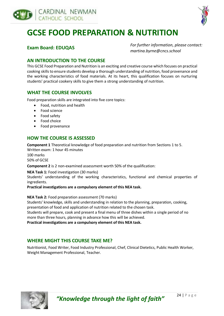



# **GCSE FOOD PREPARATION & NUTRITION**

#### **Exam Board: EDUQAS**

*For further information, please contact: martina.byrne@cncs.school*

#### **AN INTRODUCTION TO THE COURSE**

This GCSE Food Preparation and Nutrition is an exciting and creative course which focuses on practical cooking skills to ensure students develop a thorough understanding of nutrition, food provenance and the working characteristics of food materials. At its heart, this qualification focuses on nurturing students' practical cookery skills to give them a strong understanding of nutrition.

#### **WHAT THE COURSE INVOLVES**

Food preparation skills are integrated into five core topics:

- Food, nutrition and health
- Food science
- Food safety
- Food choice
- Food provenance

#### **HOW THE COURSE IS ASSESSED**

**Component 1** Theoretical knowledge of food preparation and nutrition from Sections 1 to 5.

Written exam: 1 hour 45 minutes

100 marks 50% of GCSE

**Component 2** is 2 non-examined assessment worth 50% of the qualification:

**NEA Task 1:** Food investigation (30 marks)

Students' understanding of the working characteristics, functional and chemical properties of ingredients.

**Practical investigations are a compulsory element of this NEA task.**

**NEA Task 2:** Food preparation assessment (70 marks)

Students' knowledge, skills and understanding in relation to the planning, preparation, cooking, presentation of food and application of nutrition related to the chosen task.

Students will prepare, cook and present a final menu of three dishes within a single period of no more than three hours, planning in advance how this will be achieved.

**Practical investigations are a compulsory element of this NEA task.**

#### **WHERE MIGHT THIS COURSE TAKE ME?**

Nutritionist, Food Writer, Food Industry Professional, Chef, Clinical Dietetics, Public Health Worker, Weight Management Professional, Teacher.



*"Knowledge through the light of faith"* <sup>24</sup> | P a g e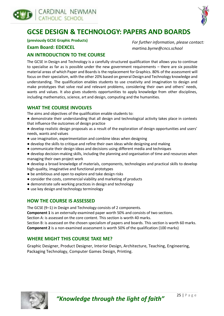



### **GCSE DESIGN & TECHNOLOGY: PAPERS AND BOARDS**

**(previously GCSE Graphic Products)**

#### **Exam Board: EDEXCEL**

*For further information, please contact: martina.byrne@cncs.school*

#### **AN INTRODUCTION TO THE COURSE**

The GCSE in Design and Technology is a carefully structured qualification that allows you to continue to specialise as far as is possible under the new government requirements – there are six possible material areas of which Paper and Boards is the replacement for Graphics. 80% of the assessment will focus on their specialism, with the other 20% based on general Design and Technology knowledge and understanding. The qualification enables students to use creativity and imagination to design and make prototypes that solve real and relevant problems, considering their own and others' needs, wants and values. It also gives students opportunities to apply knowledge from other disciplines, including mathematics, science, art and design, computing and the humanities.

#### **WHAT THE COURSE INVOLVES**

The aims and objectives of the qualification enable students to:

- demonstrate their understanding that all design and technological activity takes place in contexts that influence the outcomes of design practice
- develop realistic design proposals as a result of the exploration of design opportunities and users' needs, wants and values
- use imagination, experimentation and combine ideas when designing
- develop the skills to critique and refine their own ideas while designing and making
- communicate their design ideas and decisions using different media and techniques
- develop decision-making skills, including the planning and organisation of time and resources when managing their own project work
- develop a broad knowledge of materials, components, technologies and practical skills to develop high-quality, imaginative and functional prototypes
- be ambitious and open to explore and take design risks
- consider the costs, commercial viability and marketing of products
- demonstrate safe working practices in design and technology
- use key design and technology terminology

#### **HOW THE COURSE IS ASSESSED**

The GCSE (9–1) in Design and Technology consists of 2 components.

**Component 1** is an externally-examined paper worth 50% and consists of two sections.

Section A: is assessed on the core content. This section is worth 40 marks.

Section B: is assessed on the chosen specialism of papers and boards. This section is worth 60 marks. **Component 2** is a non-examined assessment is worth 50% of the qualification (100 marks)

#### **WHERE MIGHT THIS COURSE TAKE ME?**

Graphic Designer, Product Designer, Interior Design, Architecture, Teaching, Engineering, Packaging Technology, Computer Games Design, Printing.

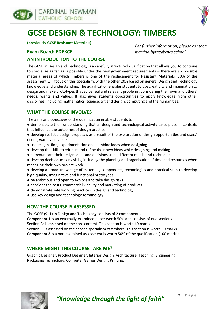



# **GCSE DESIGN & TECHNOLOGY: TIMBERS**

**(previously GCSE Resistant Materials)**

#### **Exam Board: EDEXCEL**

*For further information, please contact: martina.byrne@cncs.school*

#### **AN INTRODUCTION TO THE COURSE**

The GCSE in Design and Technology is a carefully structured qualification that allows you to continue to specialise as far as is possible under the new government requirements – there are six possible material areas of which Timbers is one of the replacement for Resistant Materials. 80% of the assessment will focus on this specialism, with the other 20% based on general Design and Technology knowledge and understanding. The qualification enables students to use creativity and imagination to design and make prototypes that solve real and relevant problems, considering their own and others' needs, wants and values. It also gives students opportunities to apply knowledge from other disciplines, including mathematics, science, art and design, computing and the humanities.

#### **WHAT THE COURSE INVOLVES**

The aims and objectives of the qualification enable students to:

- demonstrate their understanding that all design and technological activity takes place in contexts that influence the outcomes of design practice
- develop realistic design proposals as a result of the exploration of design opportunities and users' needs, wants and values
- use imagination, experimentation and combine ideas when designing
- develop the skills to critique and refine their own ideas while designing and making
- communicate their design ideas and decisions using different media and techniques
- develop decision-making skills, including the planning and organisation of time and resources when managing their own project work
- develop a broad knowledge of materials, components, technologies and practical skills to develop high-quality, imaginative and functional prototypes
- be ambitious and open to explore and take design risks
- consider the costs, commercial viability and marketing of products
- demonstrate safe working practices in design and technology
- use key design and technology terminology

#### **HOW THE COURSE IS ASSESSED**

The GCSE (9–1) in Design and Technology consists of 2 components.

**Component 1** is an externally-examined paper worth 50% and consists of two sections.

Section A: is assessed on the core content. This section is worth 40 marks.

Section B: is assessed on the chosen specialism of timbers. This section is worth 60 marks. **Component 2** is a non-examined assessment is worth 50% of the qualification (100 marks)

#### **WHERE MIGHT THIS COURSE TAKE ME?**

Graphic Designer, Product Designer, Interior Design, Architecture, Teaching, Engineering, Packaging Technology, Computer Games Design, Printing.



*"Knowledge through the light of faith"* <sup>26</sup> | P a g e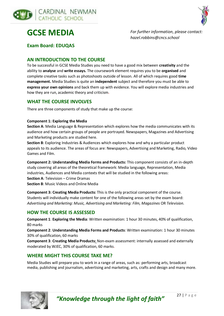





*For further information, please contact: hazel.robbins@cncs.school*

**Exam Board: EDUQAS**

#### **AN INTRODUCTION TO THE COURSE**

To be successful in GCSE Media Studies you need to have a good mix between **creativity** and the ability to **analyse** and **write essays.** The coursework element requires you to be **organised** and complete creative tasks such as photoshoots outside of lesson. All of which requires good **time management.** Media Studies is quite an **independent** subject and therefore you must be able to **express your own opinions** and back them up with evidence. You will explore media industries and how they are run, academic theory and criticism.

#### **WHAT THE COURSE INVOLVES**

There are three components of study that make up the course:

#### **Component 1: Exploring the Media**

**Section A**: Media Language & Representation which explores how the media communicates with its audience and how certain groups of people are portrayed. Newspapers, Magazines and Advertising and Marketing products are studied here.

**Section B**: Exploring Industries & Audiences which explores how and why a particular product appeals to its audience. The areas of focus are: Newspapers, Advertising and Marketing, Radio, Video Games and Film.

**Component 2: Understanding Media Forms and Products:** This component consists of an in-depth study covering all areas of the theoretical framework: Media language, Representation, Media industries, Audiences and Media contexts that will be studied in the following areas: **Section A**: Television – Crime Dramas **Section B**: Music Videos and Online Media

**Component 3: Creating Media Products:** This is the only practical component of the course. Students will individually make content for one of the following areas set by the exam board: *Advertising and Marketing: Music, Advertising and Marketing: Film, Magazines* OR *Television.*

#### **HOW THE COURSE IS ASSESSED**

**Component 1**: **Exploring the Media**: Written examination: 1 hour 30 minutes, 40% of qualification, 80 marks

**Component 2**: **Understanding Media Forms and Products**: Written examination: 1 hour 30 minutes 30% of qualification, 60 marks

**Component 3**: **Creating Media Products:** Non-exam assessment: internally assessed and externally moderated by WJEC, 30% of qualification, 60 marks.

#### **WHERE MIGHT THIS COURSE TAKE ME?**

Media Studies will prepare you to work in a range of areas, such as: performing arts, broadcast media, publishing and journalism, advertising and marketing, arts, crafts and design and many more.

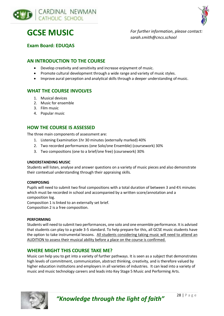



**GCSE MUSIC**

*For further information, please contact: sarah.smith@cncs.school*

**Exam Board: EDUQAS**

#### **AN INTRODUCTION TO THE COURSE**

- Develop creativity and sensitivity and increase enjoyment of music.
- Promote cultural development through a wide range and variety of music styles.
- Improve aural perception and analytical skills through a deeper understanding of music.

#### **WHAT THE COURSE INVOLVES**

- 1. Musical devices
- 2. Music for ensemble
- 3. Film music
- 4. Popular music

#### **HOW THE COURSE IS ASSESSED**

The three main components of assessment are:

- 1. Listening Examination 1hr 30 minutes (externally marked) 40%
- 2. Two recorded performances (one Solo/one Ensemble) (coursework) 30%
- 3. Two compositions (one to a brief/one free) (coursework) 30%

#### **UNDERSTANDING MUSIC**

Students will listen, analyse and answer questions on a variety of music pieces and also demonstrate their contextual understanding through their appraising skills.

#### **COMPOSING**

Pupils will need to submit two final compositions with a total duration of between 3 and 4½ minutes which must be recorded in school and accompanied by a written score/annotation and a composition log.

Composition 1 is linked to an externally set brief.

Composition 2 is a free composition.

#### **PERFORMING**

Students will need to submit two performances, one solo and one ensemble performance. It is advised that students can play to a grade 3-5 standard. To help prepare for this, all GCSE music students have the option to take instrumental lessons. All students considering taking music will need to attend an AUDITION to assess their musical ability before a place on the course is confirmed.

#### **WHERE MIGHT THIS COURSE TAKE ME?**

Music can help you to get into a variety of further pathways. It is seen as a subject that demonstrates high levels of commitment, communication, abstract thinking, creativity, and is therefore valued by higher education institutions and employers in all varieties of industries. It can lead into a variety of music and music technology careers and leads into Key Stage 5 Music and Performing Arts.

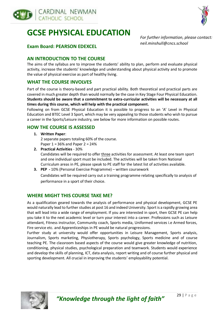





#### **Exam Board: PEARSON EDEXCEL**

*For further information, please contact: neil.minshull@cncs.school*

#### **AN INTRODUCTION TO THE COURSE**

The aims of the syllabus are to improve the students' ability to plan, perform and evaluate physical activity, increase the students' knowledge and understanding about physical activity and to promote the value of physical exercise as part of healthy living.

#### **WHAT THE COURSE INVOLVES**

Part of the course is theory-based and part practical ability. Both theoretical and practical parts are covered in much greater depth than would normally be the case in Key Stage Four Physical Education. **Students should be aware that a commitment to extra-curricular activities will be necessary at all times during this course, which will help with the practical component.**

Following on from GCSE Physical Education it is possible to progress to an 'A' Level in Physical Education and BTEC Level 3 Sport, which may be very appealing to those students who wish to pursue a career in the Sports/Leisure industry, see below for more information on possible routes.

#### **HOW THE COURSE IS ASSESSED**

**1. Written Paper**:

2 separate papers totaling 60% of the course. Paper 1 = 36% and Paper 2 = 24%

- **2. Practical Activities** 30% Candidates will be required to offer three activities for assessment. At least one team sport and one individual sport must be included. The activities will be taken from National Curriculum areas in PE, please speak to PE staff for the latest list of activities available.
- **3. PEP -** 10% (Personal Exercise Programme) written coursework Candidates will be required carry out a training programme relating specifically to analysis of performance in a sport of their choice.

#### **WHERE MIGHT THIS COURSE TAKE ME?**

As a qualification geared towards the analysis of performance and physical development, GCSE PE would naturally lead to further studies at post 16 and indeed University. Sport is a rapidly growing area that will lead into a wide range of employment. If you are interested in sport, then GCSE PE can help you take it to the next academic level or turn your interest into a career. Professions such as Leisure attendant, Fitness instructor, Community coach, Sports media, Uniformed services i.e Armed forces, Fire service etc. and Apprenticeships in PE would be natural progressions.

Further study at university would offer opportunities in Leisure Management, Sports analysis, Journalism, Sports marketing, Physiotherapy, Sports psychology, Sports medicine and of course teaching PE. The classroom based aspects of the course would give greater knowledge of nutrition, conditioning, physical studies, psychological preparation and teamwork. Students would experience and develop the skills of planning, ICT, data analysis, report writing and of course further physical and sporting development. All crucial in improving the students' employability potential.

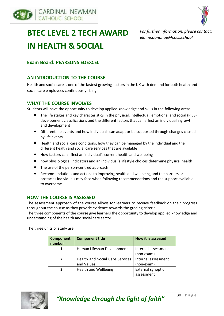



# **BTEC LEVEL 2 TECH AWARD IN HEALTH & SOCIAL**

*For further information, please contact: elaine.donohue@cncs.school*

#### **Exam Board: PEARSONS EDEXCEL**

#### **AN INTRODUCTION TO THE COURSE**

Health and social care is one of the fastest growing sectors in the UK with demand for both health and social care employees continuously rising.

#### **WHAT THE COURSE INVOLVES**

Students will have the opportunity to develop applied knowledge and skills in the following areas:

- The life stages and key characteristics in the physical, intellectual, emotional and social (PIES) development classifications and the different factors that can affect an individual's growth and development
- Different life events and how individuals can adapt or be supported through changes caused by life events
- Health and social care conditions, how they can be managed by the individual and the different health and social care services that are available
- How factors can affect an individual's current health and wellbeing
- how physiological indicators and an individual's lifestyle choices determine physical health
- The use of the person-centred approach
- Recommendations and actions to improving health and wellbeing and the barriers or obstacles individuals may face when following recommendations and the support available to overcome.

#### **HOW THE COURSE IS ASSESSED**

The assessment approach of the course allows for learners to receive feedback on their progress throughout the course as they provide evidence towards the grading criteria.

The three components of the course give learners the opportunity to develop applied knowledge and understanding of the health and social care sector

The three units of study are:

| <b>Component</b><br>number | <b>Component title</b>          | <b>How it is assessed</b> |
|----------------------------|---------------------------------|---------------------------|
|                            | Human Lifespan Development      | Internal assessment       |
|                            |                                 | (non-exam)                |
| 2                          | Health and Social Care Services | Internal assessment       |
|                            | and Values                      | (non-exam)                |
| 3                          | <b>Health and Wellbeing</b>     | External synoptic         |
|                            |                                 | assessment                |

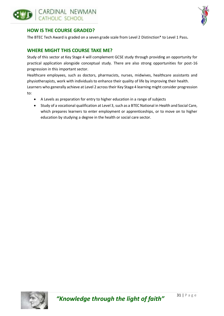



#### **HOW IS THE COURSE GRADED?**

The BTEC Tech Award is graded on a seven grade scale from Level 2 Distinction\* to Level 1 Pass**.** 

#### **WHERE MIGHT THIS COURSE TAKE ME?**

Study of this sector at Key Stage 4 will complement GCSE study through providing an opportunity for practical application alongside conceptual study. There are also strong opportunities for post-16 progression in this important sector.

Healthcare employees, such as doctors, pharmacists, nurses, midwives, healthcare assistants and physiotherapists, work with individuals to enhance their quality of life by improving their health. Learners who generally achieve at Level 2 across their Key Stage 4 learning might consider progression to:

- A Levels as preparation for entry to higher education in a range of subjects
- Study of a vocational qualification at Level 3, such as a BTEC National in Health and Social Care, which prepares learners to enter employment or apprenticeships, or to move on to higher education by studying a degree in the health or social care sector.

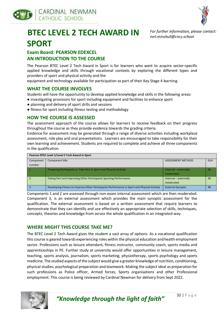



*For further information, please contact:*

*neil.minshull@cncs.school*

# **BTEC LEVEL 2 TECH AWARD IN SPORT**

**Exam Board: PEARSON EDEXCEL AN INTRODUCTION TO THE COURSE**

The Pearson BTEC Level 2 Tech Award in Sport is for learners who want to acquire sector-specific applied knowledge and skills through vocational contexts by exploring the different types and providers of sport and physical activity and the

equipment and technology available for participation as part of their Key Stage 4 learning.

#### **WHAT THE COURSE INVOLVES**

Students will have the opportunity to develop applied knowledge and skills in the following areas:

- investigating provisions for sport including equipment and facilities to enhance sport
- planning and delivery of sport drills and sessions
- fitness for sport including fitness testing and methodology

#### **HOW THE COURSE IS ASSESSED**

The assessment approach of the course allows for learners to receive feedback on their progress throughout the course as they provide evidence towards the grading criteria.

Evidence for assessment may be generated through a range of diverse activities including workplace assessment, role play and oral presentations. Learners are encouraged to take responsibility for their own learning and achievement. Students are required to complete and achieve all three components in the qualification.

| Pearson BTEC Level 1/Level 2 Tech Award in Sport |                                                                                             |                          |            |  |
|--------------------------------------------------|---------------------------------------------------------------------------------------------|--------------------------|------------|--|
| Component                                        | Component title                                                                             | ASSESSMENT METHOD        | <b>GLH</b> |  |
| number                                           |                                                                                             |                          |            |  |
|                                                  | Preparing Participants to Take Part in Sport and Physical Activity                          | Internal - externally    | 36         |  |
|                                                  |                                                                                             | moderated                |            |  |
|                                                  | Taking Part and Improving Other Participants Sporting Performance                           | Internal - externally    | 36         |  |
|                                                  |                                                                                             | moderated                |            |  |
|                                                  | Developing Fitness to Improve Other Participants Performance in Sport and Physical Activity | <b>External Synoptic</b> | 48         |  |
|                                                  |                                                                                             |                          |            |  |

Components 1 and 2 are assessed through non-exam internal assessment which are then moderated. Component 3, is an external assessment which provides the main synoptic assessment for the qualification. The external assessment is based on a written assessment that require learners to demonstrate that they can identify and use effectively an appropriate selection of skills, techniques, concepts, theories and knowledge from across the whole qualification in an integrated way.

#### **WHERE MIGHT THIS COURSE TAKE ME?**

The BTEC Level 2 Tech Award gives the student a vast array of options. As a vocational qualification this course is geared towards experiencing roles within the physical education and health employment sector. Professions such as leisure attendant, fitness instructor, community coach, sports media and apprenticeships in PE. Further study at university would offer opportunities in leisure management, teaching, sports analysis, journalism, sports marketing, physiotherapy, sports psychology and sports medicine. The studied aspects of the subject would give a greater knowledge of nutrition, conditioning, physical studies, psychological preparation and teamwork. Making the subject ideal as preparation for such professions as Police officer, Armed forces, Sports organisations and other Professional employment. This course is being reviewed by Cardinal Newman for delivery from Sept 2022.